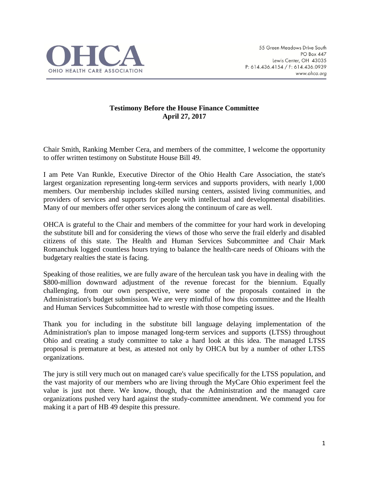

## **Testimony Before the House Finance Committee April 27, 2017**

Chair Smith, Ranking Member Cera, and members of the committee, I welcome the opportunity to offer written testimony on Substitute House Bill 49.

I am Pete Van Runkle, Executive Director of the Ohio Health Care Association, the state's largest organization representing long-term services and supports providers, with nearly 1,000 members. Our membership includes skilled nursing centers, assisted living communities, and providers of services and supports for people with intellectual and developmental disabilities. Many of our members offer other services along the continuum of care as well.

OHCA is grateful to the Chair and members of the committee for your hard work in developing the substitute bill and for considering the views of those who serve the frail elderly and disabled citizens of this state. The Health and Human Services Subcommittee and Chair Mark Romanchuk logged countless hours trying to balance the health-care needs of Ohioans with the budgetary realties the state is facing.

Speaking of those realities, we are fully aware of the herculean task you have in dealing with the \$800-million downward adjustment of the revenue forecast for the biennium. Equally challenging, from our own perspective, were some of the proposals contained in the Administration's budget submission. We are very mindful of how this committee and the Health and Human Services Subcommittee had to wrestle with those competing issues.

Thank you for including in the substitute bill language delaying implementation of the Administration's plan to impose managed long-term services and supports (LTSS) throughout Ohio and creating a study committee to take a hard look at this idea. The managed LTSS proposal is premature at best, as attested not only by OHCA but by a number of other LTSS organizations.

The jury is still very much out on managed care's value specifically for the LTSS population, and the vast majority of our members who are living through the MyCare Ohio experiment feel the value is just not there. We know, though, that the Administration and the managed care organizations pushed very hard against the study-committee amendment. We commend you for making it a part of HB 49 despite this pressure.